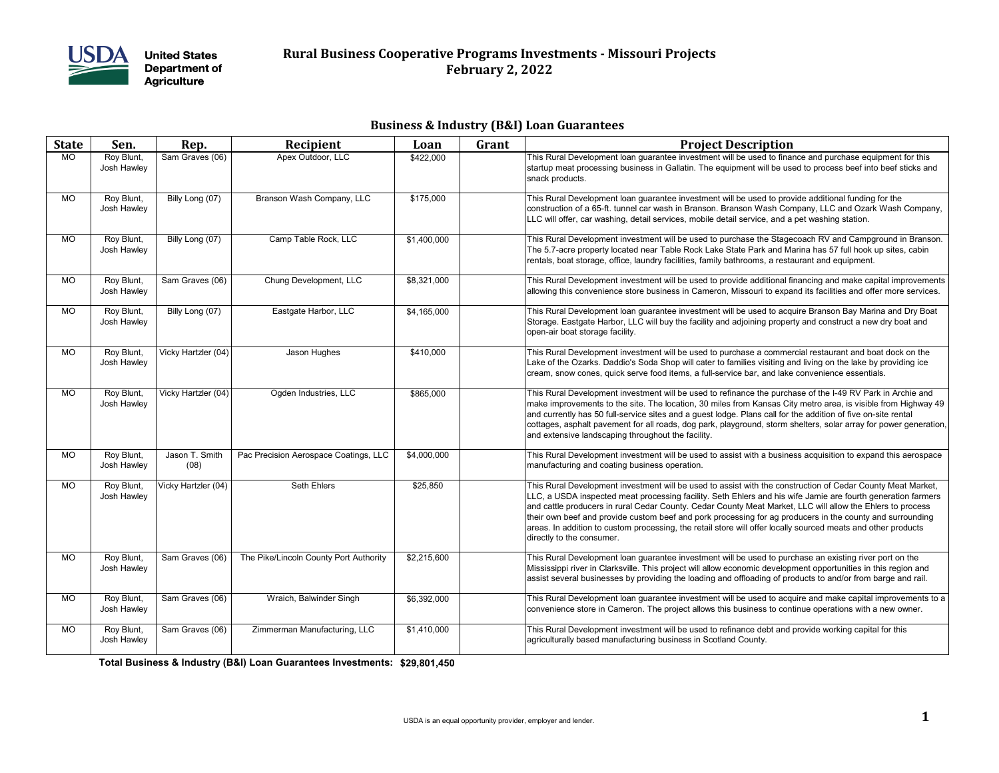

### **Rural Business Cooperative Programs Investments - Missouri Projects February 2, 2022**

### **Business & Industry (B&I) Loan Guarantees**

| <b>State</b> | Sen.                      | Rep.                   | Recipient                              | Loan        | Grant | <b>Project Description</b>                                                                                                                                                                                                                                                                                                                                                                                                                                                                                                                                                                           |
|--------------|---------------------------|------------------------|----------------------------------------|-------------|-------|------------------------------------------------------------------------------------------------------------------------------------------------------------------------------------------------------------------------------------------------------------------------------------------------------------------------------------------------------------------------------------------------------------------------------------------------------------------------------------------------------------------------------------------------------------------------------------------------------|
| <b>MO</b>    | Roy Blunt,<br>Josh Hawley | Sam Graves (06)        | Apex Outdoor, LLC                      | \$422,000   |       | This Rural Development loan quarantee investment will be used to finance and purchase equipment for this<br>startup meat processing business in Gallatin. The equipment will be used to process beef into beef sticks and<br>snack products.                                                                                                                                                                                                                                                                                                                                                         |
| MO           | Roy Blunt,<br>Josh Hawley | Billy Long (07)        | Branson Wash Company, LLC              | \$175,000   |       | This Rural Development loan guarantee investment will be used to provide additional funding for the<br>construction of a 65-ft. tunnel car wash in Branson. Branson Wash Company, LLC and Ozark Wash Company,<br>LLC will offer, car washing, detail services, mobile detail service, and a pet washing station.                                                                                                                                                                                                                                                                                     |
| <b>MO</b>    | Roy Blunt,<br>Josh Hawley | Billy Long (07)        | Camp Table Rock, LLC                   | \$1,400,000 |       | This Rural Development investment will be used to purchase the Stagecoach RV and Campground in Branson.<br>The 5.7-acre property located near Table Rock Lake State Park and Marina has 57 full hook up sites, cabin<br>rentals, boat storage, office, laundry facilities, family bathrooms, a restaurant and equipment.                                                                                                                                                                                                                                                                             |
| MO.          | Roy Blunt,<br>Josh Hawley | Sam Graves (06)        | Chung Development, LLC                 | \$8,321,000 |       | This Rural Development investment will be used to provide additional financing and make capital improvements<br>allowing this convenience store business in Cameron, Missouri to expand its facilities and offer more services.                                                                                                                                                                                                                                                                                                                                                                      |
| <b>MO</b>    | Roy Blunt,<br>Josh Hawley | Billy Long (07)        | Eastgate Harbor, LLC                   | \$4,165,000 |       | This Rural Development loan guarantee investment will be used to acquire Branson Bay Marina and Dry Boat<br>Storage. Eastgate Harbor, LLC will buy the facility and adjoining property and construct a new dry boat and<br>open-air boat storage facility.                                                                                                                                                                                                                                                                                                                                           |
| MO           | Roy Blunt,<br>Josh Hawley | Vicky Hartzler (04)    | Jason Hughes                           | \$410,000   |       | This Rural Development investment will be used to purchase a commercial restaurant and boat dock on the<br>Lake of the Ozarks. Daddio's Soda Shop will cater to families visiting and living on the lake by providing ice<br>cream, snow cones, quick serve food items, a full-service bar, and lake convenience essentials.                                                                                                                                                                                                                                                                         |
| <b>MO</b>    | Roy Blunt,<br>Josh Hawley | Vicky Hartzler (04)    | Ogden Industries, LLC                  | \$865,000   |       | This Rural Development investment will be used to refinance the purchase of the I-49 RV Park in Archie and<br>make improvements to the site. The location, 30 miles from Kansas City metro area, is visible from Highway 49<br>and currently has 50 full-service sites and a guest lodge. Plans call for the addition of five on-site rental<br>cottages, asphalt pavement for all roads, dog park, playground, storm shelters, solar array for power generation,<br>and extensive landscaping throughout the facility.                                                                              |
| MO.          | Roy Blunt,<br>Josh Hawley | Jason T. Smith<br>(08) | Pac Precision Aerospace Coatings, LLC  | \$4,000,000 |       | This Rural Development investment will be used to assist with a business acquisition to expand this aerospace<br>manufacturing and coating business operation.                                                                                                                                                                                                                                                                                                                                                                                                                                       |
| <b>MO</b>    | Roy Blunt,<br>Josh Hawley | Vicky Hartzler (04)    | Seth Ehlers                            | \$25,850    |       | This Rural Development investment will be used to assist with the construction of Cedar County Meat Market,<br>LLC, a USDA inspected meat processing facility. Seth Ehlers and his wife Jamie are fourth generation farmers<br>and cattle producers in rural Cedar County. Cedar County Meat Market, LLC will allow the Ehlers to process<br>their own beef and provide custom beef and pork processing for ag producers in the county and surrounding<br>areas. In addition to custom processing, the retail store will offer locally sourced meats and other products<br>directly to the consumer. |
| <b>MO</b>    | Roy Blunt,<br>Josh Hawley | Sam Graves (06)        | The Pike/Lincoln County Port Authority | \$2,215,600 |       | This Rural Development loan guarantee investment will be used to purchase an existing river port on the<br>Mississippi river in Clarksville. This project will allow economic development opportunities in this region and<br>assist several businesses by providing the loading and offloading of products to and/or from barge and rail.                                                                                                                                                                                                                                                           |
| <b>MO</b>    | Roy Blunt,<br>Josh Hawley | Sam Graves (06)        | Wraich, Balwinder Singh                | \$6,392,000 |       | This Rural Development loan quarantee investment will be used to acquire and make capital improvements to a<br>convenience store in Cameron. The project allows this business to continue operations with a new owner.                                                                                                                                                                                                                                                                                                                                                                               |
| <b>MO</b>    | Roy Blunt,<br>Josh Hawley | Sam Graves (06)        | Zimmerman Manufacturing, LLC           | \$1,410,000 |       | This Rural Development investment will be used to refinance debt and provide working capital for this<br>agriculturally based manufacturing business in Scotland County.                                                                                                                                                                                                                                                                                                                                                                                                                             |

**\$29,801,450 Total Business & Industry (B&I) Loan Guarantees Investments:**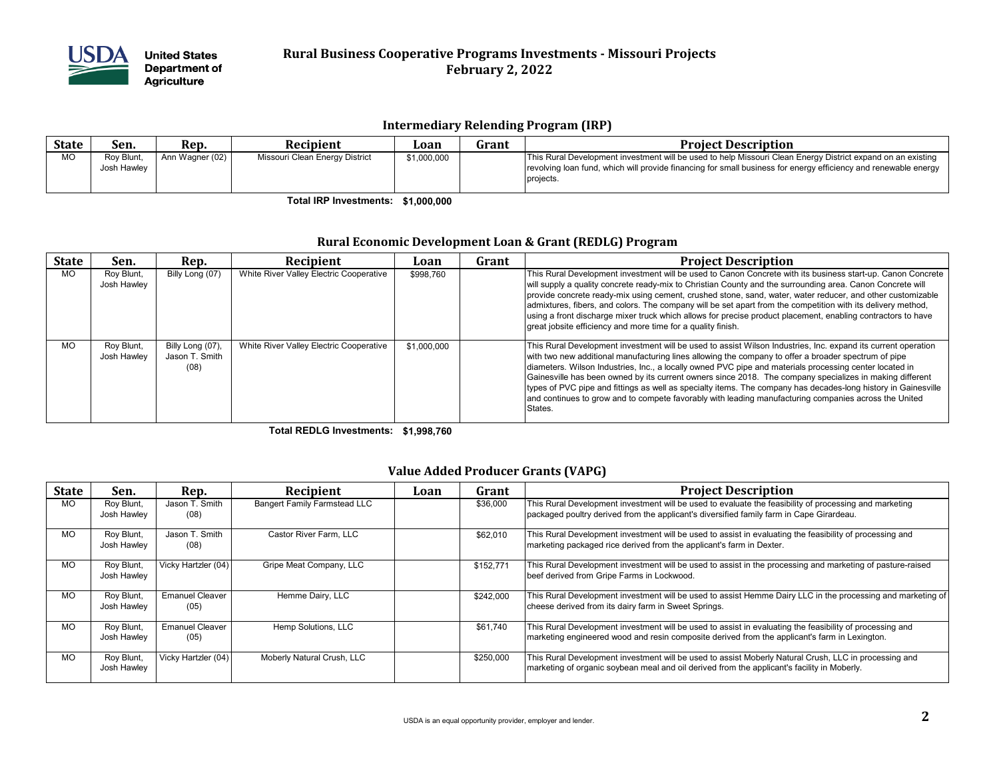

# **Rural Business Cooperative Programs Investments - Missouri Projects February 2, 2022**

#### **Intermediary Relending Program (IRP)**

| <b>State</b> | Sen.                      | Rep.            | Recipient                      | Loan        | Grant | <b>Project Description</b>                                                                                                                                                                                                                  |
|--------------|---------------------------|-----------------|--------------------------------|-------------|-------|---------------------------------------------------------------------------------------------------------------------------------------------------------------------------------------------------------------------------------------------|
| <b>MO</b>    | Rov Blunt.<br>Josh Hawley | Ann Wagner (02) | Missouri Clean Energy District | \$1,000,000 |       | This Rural Development investment will be used to help Missouri Clean Energy District expand on an existing<br>revolving loan fund, which will provide financing for small business for energy efficiency and renewable energy<br>projects. |

**\$1,000,000 Total IRP Investments:**

#### **Rural Economic Development Loan & Grant (REDLG) Program**

| <b>State</b> | Sen.                      | Rep.                                       | Recipient                               | Loan        | Grant | <b>Project Description</b>                                                                                                                                                                                                                                                                                                                                                                                                                                                                                                                                                                                                                                                         |
|--------------|---------------------------|--------------------------------------------|-----------------------------------------|-------------|-------|------------------------------------------------------------------------------------------------------------------------------------------------------------------------------------------------------------------------------------------------------------------------------------------------------------------------------------------------------------------------------------------------------------------------------------------------------------------------------------------------------------------------------------------------------------------------------------------------------------------------------------------------------------------------------------|
| <b>MO</b>    | Roy Blunt,<br>Josh Hawley | Billy Long (07)                            | White River Valley Electric Cooperative | \$998,760   |       | This Rural Development investment will be used to Canon Concrete with its business start-up. Canon Concrete<br>will supply a quality concrete ready-mix to Christian County and the surrounding area. Canon Concrete will<br>provide concrete ready-mix using cement, crushed stone, sand, water, water reducer, and other customizable<br>admixtures, fibers, and colors. The company will be set apart from the competition with its delivery method,<br>using a front discharge mixer truck which allows for precise product placement, enabling contractors to have<br>great jobsite efficiency and more time for a quality finish.                                            |
| <b>MO</b>    | Roy Blunt,<br>Josh Hawley | Billy Long (07),<br>Jason T. Smith<br>(08) | White River Valley Electric Cooperative | \$1,000,000 |       | This Rural Development investment will be used to assist Wilson Industries, Inc. expand its current operation<br>with two new additional manufacturing lines allowing the company to offer a broader spectrum of pipe<br>diameters. Wilson Industries, Inc., a locally owned PVC pipe and materials processing center located in<br>Gainesville has been owned by its current owners since 2018. The company specializes in making different<br>types of PVC pipe and fittings as well as specialty items. The company has decades-long history in Gainesville<br>and continues to grow and to compete favorably with leading manufacturing companies across the United<br>States. |

**\$1,998,760 Total REDLG Investments:**

### **Value Added Producer Grants (VAPG)**

| <b>State</b> | Sen.                      | Rep.                           | Recipient                           | Loan | Grant     | <b>Project Description</b>                                                                                                                                                                                |
|--------------|---------------------------|--------------------------------|-------------------------------------|------|-----------|-----------------------------------------------------------------------------------------------------------------------------------------------------------------------------------------------------------|
| <b>MO</b>    | Roy Blunt,<br>Josh Hawley | Jason T. Smith<br>(08)         | <b>Bangert Family Farmstead LLC</b> |      | \$36,000  | This Rural Development investment will be used to evaluate the feasibility of processing and marketing<br>packaged poultry derived from the applicant's diversified family farm in Cape Girardeau.        |
| <b>MO</b>    | Roy Blunt,<br>Josh Hawley | Jason T. Smith<br>(08)         | Castor River Farm, LLC              |      | \$62,010  | This Rural Development investment will be used to assist in evaluating the feasibility of processing and<br>marketing packaged rice derived from the applicant's farm in Dexter.                          |
| <b>MO</b>    | Roy Blunt,<br>Josh Hawley | Vicky Hartzler (04)            | Gripe Meat Company, LLC             |      | \$152,771 | This Rural Development investment will be used to assist in the processing and marketing of pasture-raised<br>beef derived from Gripe Farms in Lockwood.                                                  |
| <b>MO</b>    | Roy Blunt,<br>Josh Hawley | <b>Emanuel Cleaver</b><br>(05) | Hemme Dairy, LLC                    |      | \$242,000 | This Rural Development investment will be used to assist Hemme Dairy LLC in the processing and marketing of<br>cheese derived from its dairy farm in Sweet Springs.                                       |
| <b>MO</b>    | Roy Blunt,<br>Josh Hawley | <b>Emanuel Cleaver</b><br>(05) | Hemp Solutions, LLC                 |      | \$61,740  | This Rural Development investment will be used to assist in evaluating the feasibility of processing and<br>marketing engineered wood and resin composite derived from the applicant's farm in Lexington. |
| <b>MO</b>    | Roy Blunt,<br>Josh Hawley | Vicky Hartzler (04)            | Moberly Natural Crush, LLC          |      | \$250,000 | This Rural Development investment will be used to assist Moberly Natural Crush, LLC in processing and<br>marketing of organic soybean meal and oil derived from the applicant's facility in Moberly.      |